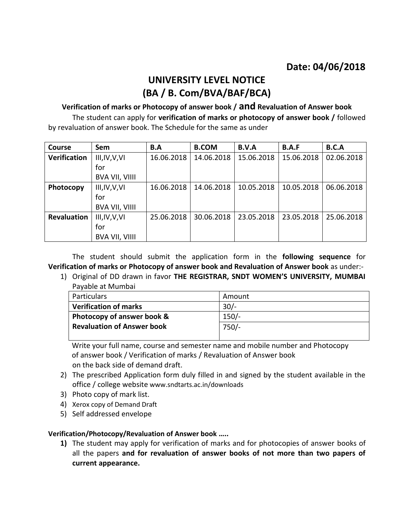## **UNIVERSITY LEVEL NOTICE (BA / B. Com/BVA/BAF/BCA)**

**Verification of marks or Photocopy of answer book / and Revaluation of Answer book**  The student can apply for **verification of marks or photocopy of answer book /** followed by revaluation of answer book. The Schedule for the same as under

| <b>Course</b>       | Sem                   | B.A        | <b>B.COM</b> | B.V.A      | <b>B.A.F</b> | B.C.A      |
|---------------------|-----------------------|------------|--------------|------------|--------------|------------|
| <b>Verification</b> | III, IV, V, VI        | 16.06.2018 | 14.06.2018   | 15.06.2018 | 15.06.2018   | 02.06.2018 |
|                     | for                   |            |              |            |              |            |
|                     | <b>BVA VII, VIIII</b> |            |              |            |              |            |
| Photocopy           | III, IV, V, VI        | 16.06.2018 | 14.06.2018   | 10.05.2018 | 10.05.2018   | 06.06.2018 |
|                     | for                   |            |              |            |              |            |
|                     | <b>BVA VII, VIIII</b> |            |              |            |              |            |
| <b>Revaluation</b>  | III, IV, V, VI        | 25.06.2018 | 30.06.2018   | 23.05.2018 | 23.05.2018   | 25.06.2018 |
|                     | for                   |            |              |            |              |            |
|                     | <b>BVA VII, VIIII</b> |            |              |            |              |            |

The student should submit the application form in the **following sequence** for **Verification of marks or Photocopy of answer book and Revaluation of Answer book** as under:-

1) Original of DD drawn in favor **THE REGISTRAR, SNDT WOMEN'S UNIVERSITY, MUMBAI**  Payable at Mumbai

| Particulars                       | Amount  |
|-----------------------------------|---------|
| <b>Verification of marks</b>      | $30/-$  |
| Photocopy of answer book &        | $150/-$ |
| <b>Revaluation of Answer book</b> | $750/-$ |
|                                   |         |

 Write your full name, course and semester name and mobile number and Photocopy of answer book / Verification of marks / Revaluation of Answer book on the back side of demand draft.

- 2) The prescribed Application form duly filled in and signed by the student available in the office / college website [www.sndtarts.ac.in/downloads](http://www.sndtarts.ac.in/downloads)
- 3) Photo copy of mark list.
- 4) Xerox copy of Demand Draft
- 5) Self addressed envelope

### **Verification/Photocopy/Revaluation of Answer book …..**

**1)** The student may apply for verification of marks and for photocopies of answer books of all the papers **and for revaluation of answer books of not more than two papers of current appearance.**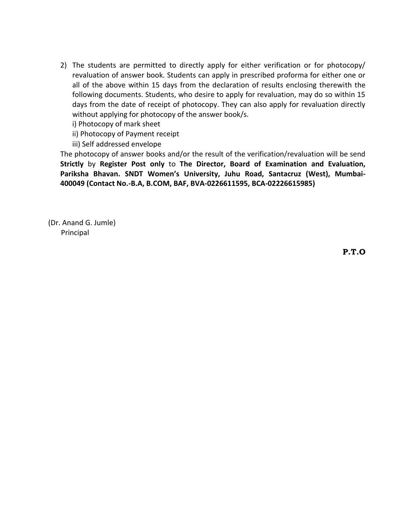2) The students are permitted to directly apply for either verification or for photocopy/ revaluation of answer book. Students can apply in prescribed proforma for either one or all of the above within 15 days from the declaration of results enclosing therewith the following documents. Students, who desire to apply for revaluation, may do so within 15 days from the date of receipt of photocopy. They can also apply for revaluation directly without applying for photocopy of the answer book/s.

i) Photocopy of mark sheet

ii) Photocopy of Payment receipt

iii) Self addressed envelope

The photocopy of answer books and/or the result of the verification/revaluation will be send **Strictly** by **Register Post only** to **The Director, Board of Examination and Evaluation, Pariksha Bhavan. SNDT Women's University, Juhu Road, Santacruz (West), Mumbai-400049 (Contact No.-B.A, B.COM, BAF, BVA-0226611595, BCA-02226615985)**

(Dr. Anand G. Jumle) Principal

**P.T.O**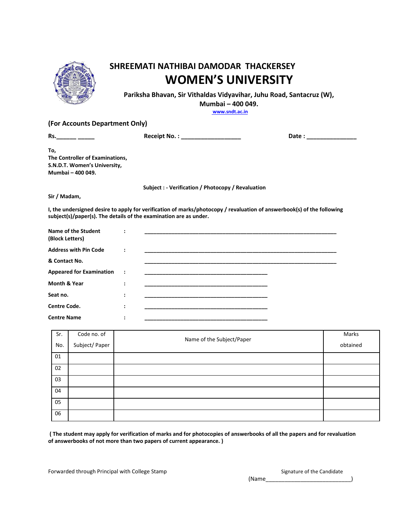

# **SHREEMATI NATHIBAI DAMODAR THACKERSEY WOMEN'S UNIVERSITY**

**Pariksha Bhavan, Sir Vithaldas Vidyavihar, Juhu Road, Santacruz (W),**

**Mumbai – 400 049.**

**[www.sndt.ac.in](http://www.sndt.ac.in/)**

#### **(For Accounts Department Only)**

**Rs.\_\_\_\_\_\_ \_\_\_\_\_ Receipt No. : \_\_\_\_\_\_\_\_\_\_\_\_\_\_\_\_\_\_ Date : \_\_\_\_\_\_\_\_\_\_\_\_\_\_\_**

**To, The Controller of Examinations, S.N.D.T. Women's University, Mumbai – 400 049.**

**Subject : - Verification / Photocopy / Revaluation**

#### **Sir / Madam,**

**I, the undersigned desire to apply for verification of marks/photocopy / revaluation of answerbook(s) of the following subject(s)/paper(s). The details of the examination are as under.**

| Name of the Student<br>(Block Letters) |           |  |
|----------------------------------------|-----------|--|
| <b>Address with Pin Code</b>           |           |  |
| & Contact No.                          |           |  |
| <b>Appeared for Examination</b>        | $\cdot$ : |  |
| Month & Year                           |           |  |
| Seat no.                               |           |  |
| <b>Centre Code.</b>                    |           |  |
| <b>Centre Name</b>                     |           |  |

| Sr.<br>No. | Code no. of<br>Subject/ Paper | Name of the Subject/Paper | Marks<br>obtained |
|------------|-------------------------------|---------------------------|-------------------|
| 01         |                               |                           |                   |
| 02         |                               |                           |                   |
| 03         |                               |                           |                   |
| 04         |                               |                           |                   |
| 05         |                               |                           |                   |
| 06         |                               |                           |                   |

**( The student may apply for verification of marks and for photocopies of answerbooks of all the papers and for revaluation of answerbooks of not more than two papers of current appearance. )**

Forwarded through Principal with College Stamp Signature of the Candidate

|       | Signature of the Candidate |  |
|-------|----------------------------|--|
| (Name |                            |  |